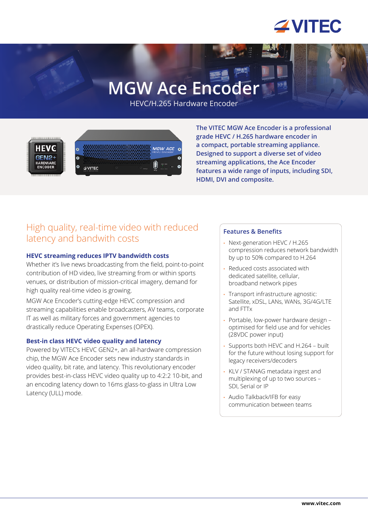

# **MGW Ace Encoder**

HEVC/H.265 Hardware Encoder



**The VITEC MGW Ace Encoder is a professional grade HEVC / H.265 hardware encoder in a compact, portable streaming appliance. Designed to support a diverse set of video streaming applications, the Ace Encoder features a wide range of inputs, including SDI, HDMI, DVI and composite.** 

# High quality, real-time video with reduced latency and bandwith costs

#### **HEVC streaming reduces IPTV bandwidth costs**

Whether it's live news broadcasting from the field, point-to-point contribution of HD video, live streaming from or within sports venues, or distribution of mission-critical imagery, demand for high quality real-time video is growing.

MGW Ace Encoder's cutting-edge HEVC compression and streaming capabilities enable broadcasters, AV teams, corporate IT as well as military forces and government agencies to drastically reduce Operating Expenses (OPEX).

#### **Best-in class HEVC video quality and latency**

Powered by VITEC's HEVC GEN2+, an all-hardware compression chip, the MGW Ace Encoder sets new industry standards in video quality, bit rate, and latency. This revolutionary encoder provides best-in-class HEVC video quality up to 4:2:2 10-bit, and an encoding latency down to 16ms glass-to-glass in Ultra Low Latency (ULL) mode.

#### **Features & Benefits**

- Next-generation HEVC / H.265 compression reduces network bandwidth by up to 50% compared to H.264
- Reduced costs associated with dedicated satellite, cellular, broadband network pipes
- Transport infrastructure agnostic: Satellite, xDSL, LANs, WANs, 3G/4G/LTE and FTTx
- Portable, low-power hardware design optimised for field use and for vehicles (28VDC power input)
- Supports both HEVC and H.264 built for the future without losing support for legacy receivers/decoders
- KLV / STANAG metadata ingest and multiplexing of up to two sources – SDI, Serial or IP
- Audio Talkback/IFB for easy communication between teams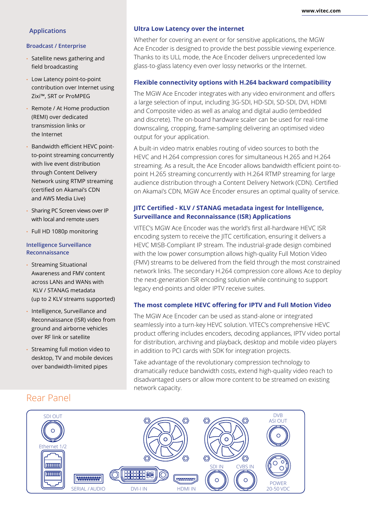#### **Applications**

#### **Broadcast / Enterprise**

- Satellite news gathering and field broadcasting
- Low Latency point-to-point contribution over Internet using Zixi™, SRT or ProMPEG
- Remote / At Home production (REMI) over dedicated transmission links or the Internet
- Bandwidth efficient HEVC pointto-point streaming concurrently with live event distribution through Content Delivery Network using RTMP streaming (certified on Akamai's CDN and AWS Media Live)
- Sharing PC Screen views over IP with local and remote users
- Full HD 1080p monitoring

#### **Intelligence Surveillance Reconnaissance**

- Streaming Situational Awareness and FMV content across LANs and WANs with KLV / STANAG metadata (up to 2 KLV streams supported)
- Intelligence, Surveillance and Reconnaissance (ISR) video from ground and airborne vehicles over RF link or satellite
- Streaming full motion video to desktop, TV and mobile devices over bandwidth-limited pipes

#### **Ultra Low Latency over the internet**

Whether for covering an event or for sensitive applications, the MGW Ace Encoder is designed to provide the best possible viewing experience. Thanks to its ULL mode, the Ace Encoder delivers unprecedented low glass-to-glass latency even over lossy networks or the Internet.

#### **Flexible connectivity options with H.264 backward compatibility**

The MGW Ace Encoder integrates with any video environment and offers a large selection of input, including 3G-SDI, HD-SDI, SD-SDI, DVI, HDMI and Composite video as well as analog and digital audio (embedded and discrete). The on-board hardware scaler can be used for real-time downscaling, cropping, frame-sampling delivering an optimised video output for your application.

A built-in video matrix enables routing of video sources to both the HEVC and H.264 compression cores for simultaneous H.265 and H.264 streaming. As a result, the Ace Encoder allows bandwidth efficient point-topoint H.265 streaming concurrently with H.264 RTMP streaming for large audience distribution through a Content Delivery Network (CDN). Certified on Akamai's CDN, MGW Ace Encoder ensures an optimal quality of service.

#### **JITC Certified - KLV / STANAG metadata ingest for Intelligence, Surveillance and Reconnaissance (ISR) Applications**

VITEC's MGW Ace Encoder was the world's first all-hardware HEVC ISR encoding system to receive the JITC certification, ensuring it delivers a HEVC MISB-Compliant IP stream. The industrial-grade design combined with the low power consumption allows high-quality Full Motion Video (FMV) streams to be delivered from the field through the most constrained network links. The secondary H.264 compression core allows Ace to deploy the next-generation ISR encoding solution while continuing to support legacy end-points and older IPTV receive suites.

#### **The most complete HEVC offering for IPTV and Full Motion Video**

The MGW Ace Encoder can be used as stand-alone or integrated seamlessly into a turn-key HEVC solution. VITEC's comprehensive HEVC product offering includes encoders, decoding appliances, IPTV video portal for distribution, archiving and playback, desktop and mobile video players in addition to PCI cards with SDK for integration projects.

Take advantage of the revolutionary compression technology to dramatically reduce bandwidth costs, extend high-quality video reach to disadvantaged users or allow more content to be streamed on existing network capacity.



# Rear Panel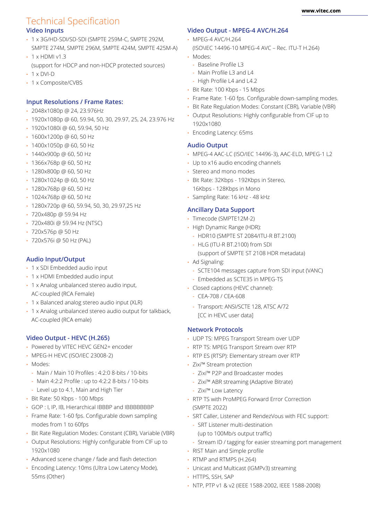# Technical Specification

## **Video Inputs**

- 1 x 3G/HD-SDI/SD-SDI (SMPTE 259M-C, SMPTE 292M, SMPTE 274M, SMPTE 296M, SMPTE 424M, SMPTE 425M-A)
- $\cdot$  1 x HDMI v1.3
- (support for HDCP and non-HDCP protected sources)  $\cdot$  1 x DVI-D
- 1 x Composite/CVBS

## **Input Resolutions / Frame Rates:**

- 2048x1080p @ 24, 23.976Hz
- 1920x1080p @ 60, 59.94, 50, 30, 29.97, 25, 24, 23.976 Hz
- 1920x1080i @ 60, 59.94, 50 Hz
- 1600x1200p @ 60, 50 Hz
- 1400x1050p @ 60, 50 Hz
- 1440x900p @ 60, 50 Hz
- 1366x768p @ 60, 50 Hz
- 1280x800p @ 60, 50 Hz
- 1280x1024p @ 60, 50 Hz
- 1280x768p @ 60, 50 Hz
- 1024x768p @ 60, 50 Hz
- 1280x720p @ 60, 59.94, 50, 30, 29.97,25 Hz
- 720x480p @ 59.94 Hz
- 720x480i @ 59.94 Hz (NTSC)
- 720x576p @ 50 Hz
- 720x576i @ 50 Hz (PAL)

### **Audio Input/Output**

- 1 x SDI Embedded audio input
- 1 x HDMI Embedded audio input
- 1 x Analog unbalanced stereo audio input, AC-coupled (RCA Female)
- 1 x Balanced analog stereo audio input (XLR)
- 1 x Analog unbalanced stereo audio output for talkback, AC-coupled (RCA emale)

#### **Video Output - HEVC (H.265)**

- Powered by VITEC HEVC GEN2+ encoder
- MPEG-H HEVC (ISO/IEC 23008-2)
- Modes:
	- Main / Main 10 Profiles : 4:2:0 8-bits / 10-bits
	- Main 4:2:2 Profile : up to 4:2:2 8-bits / 10-bits
- Level up to 4.1, Main and High Tier
- Bit Rate: 50 Kbps 100 Mbps
- GOP : I, IP, IB, Hierarchical IBBBP and IBBBBBBBP
- Frame Rate: 1-60 fps. Configurable down sampling modes from 1 to 60fps
- Bit Rate Regulation Modes: Constant (CBR), Variable (VBR)
- Output Resolutions: Highly configurable from CIF up to 1920x1080
- Advanced scene change / fade and flash detection
- Encoding Latency: 10ms (Ultra Low Latency Mode), 55ms (Other)

# **Video Output - MPEG-4 AVC/H.264**

- MPEG-4 AVC/H.264
	- (ISO\IEC 14496-10 MPEG-4 AVC Rec. ITU-T H.264)
- Modes:
	- Baseline Profile L3
	- Main Profile L3 and L4
	- High Profile L4 and L4.2
- Bit Rate: 100 Kbps 15 Mbps
- Frame Rate: 1-60 fps. Configurable down-sampling modes.
- Bit Rate Regulation Modes: Constant (CBR), Variable (VBR)
- Output Resolutions: Highly configurable from CIF up to 1920x1080
- Encoding Latency: 65ms

# **Audio Output**

- MPEG-4 AAC-LC (ISO/IEC 14496-3), AAC-ELD, MPEG-1 L2
- Up to x16 audio encoding channels
- Stereo and mono modes
- Bit Rate: 32Kbps 192Kbps in Stereo, 16Kbps - 128Kbps in Mono
- Sampling Rate: 16 kHz 48 kHz

# **Ancillary Data Support**

- Timecode (SMPTE12M-2)
- High Dynamic Range (HDR):
	- HDR10 (SMPTE ST 2084/ITU-R BT.2100)
	- HLG (ITU-R BT.2100) from SDI (support of SMPTE ST 2108 HDR metadata)
- Ad Signaling:
	- SCTE104 messages capture from SDI input (VANC)
	- Embedded as SCTE35 in MPEG-TS
- Closed captions (HEVC channel):
	- CEA-708 / CEA-608
	- Transport: ANSI/SCTE 128, ATSC A/72 [CC in HEVC user data]

# **Network Protocols**

- UDP TS: MPEG Transport Stream over UDP
- RTP TS: MPEG Transport Stream over RTP
- RTP ES (RTSP): Elementary stream over RTP
- Zixi™ Stream protection
	- Zixi™ P2P and Broadcaster modes
	- Zixi™ ABR streaming (Adaptive Bitrate)
	- Zixi™ Low Latency
- RTP TS with ProMPEG Forward Error Correction (SMPTE 2022)
- SRT Caller, Listener and RendezVous with FEC support:
	- SRT Listener multi-destination (up to 100Mb/s output traffic)
- Stream ID / tagging for easier streaming port management
- RIST Main and Simple profile
- RTMP and RTMPS (H.264)
- Unicast and Multicast (IGMPv3) streaming
- HTTPS, SSH, SAP
- NTP, PTP v1 & v2 (IEEE 1588-2002, IEEE 1588-2008)